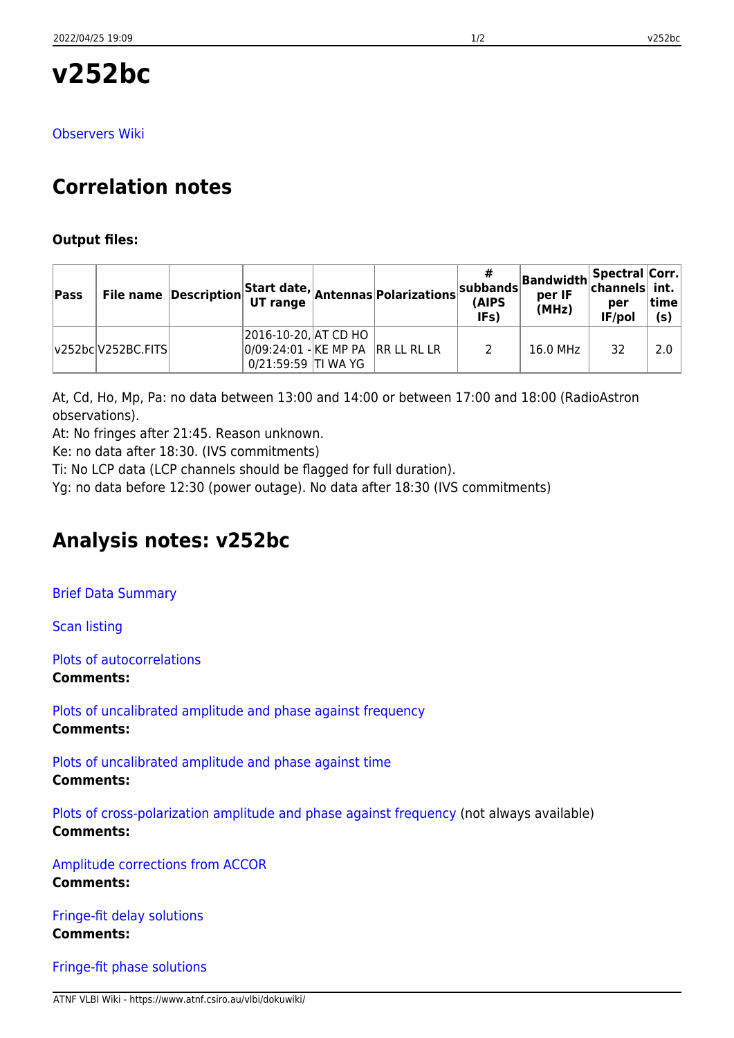# **v252bc**

[Observers Wiki](http://www.atnf.csiro.au/vlbi/dokuwiki/doku.php/lbaops/lbaOct2016/v252bc)

# **Correlation notes**

#### **Output files:**

| Pass |                    |                                                                                  | File name Description Start date, Antennas Polarizations | subbands<br>(AIPS<br>IFs) | Bandwidth Spectral Corr.<br>per IF<br>(MHz) | per<br>IF/pol | time<br>(s) |
|------|--------------------|----------------------------------------------------------------------------------|----------------------------------------------------------|---------------------------|---------------------------------------------|---------------|-------------|
|      | v252bc V252BC.FITS | 2016-10-20, AT CD HO<br>0/09:24:01 - KE MP PA RR LL RL LR<br>0/21:59:59 TI WA YG |                                                          |                           | 16.0 MHz                                    | 32            | 2.0         |

At, Cd, Ho, Mp, Pa: no data between 13:00 and 14:00 or between 17:00 and 18:00 (RadioAstron observations).

At: No fringes after 21:45. Reason unknown.

Ke: no data after 18:30. (IVS commitments)

Ti: No LCP data (LCP channels should be flagged for full duration).

Yg: no data before 12:30 (power outage). No data after 18:30 (IVS commitments)

# **Analysis notes: v252bc**

[Brief Data Summary](ftp://ftp.atnf.csiro.au/pub/people/vlbi/pipeline/v252bc/v252bc.DTSUM)

[Scan listing](ftp://ftp.atnf.csiro.au/pub/people/vlbi/pipeline/v252bc/v252bc.SCAN)

[Plots of autocorrelations](ftp://ftp.atnf.csiro.au/pub/people/vlbi/pipeline/v252bc/v252bc_POSSM_AUTOCORR.pdf) **Comments:**

[Plots of uncalibrated amplitude and phase against frequency](ftp://ftp.atnf.csiro.au/pub/people/vlbi/pipeline/v252bc/v252bc_POSSM_UNCAL.pdf) **Comments:**

[Plots of uncalibrated amplitude and phase against time](ftp://ftp.atnf.csiro.au/pub/people/vlbi/pipeline/v252bc/v252bc_VPLOT_UNCAL.pdf) **Comments:**

[Plots of cross-polarization amplitude and phase against frequency](ftp://ftp.atnf.csiro.au/pub/people/vlbi/pipeline/v252bc/v252bc_POSSM_CPOL.pdf) (not always available) **Comments:**

[Amplitude corrections from ACCOR](ftp://ftp.atnf.csiro.au/pub/people/vlbi/pipeline/v252bc/v252bc_ACCOR.pdf) **Comments:**

[Fringe-fit delay solutions](ftp://ftp.atnf.csiro.au/pub/people/vlbi/pipeline/v252bc/v252bc_FRING_DELAY.pdf) **Comments:**

[Fringe-fit phase solutions](ftp://ftp.atnf.csiro.au/pub/people/vlbi/pipeline/v252bc/v252bc_FRING_PHAS.pdf)